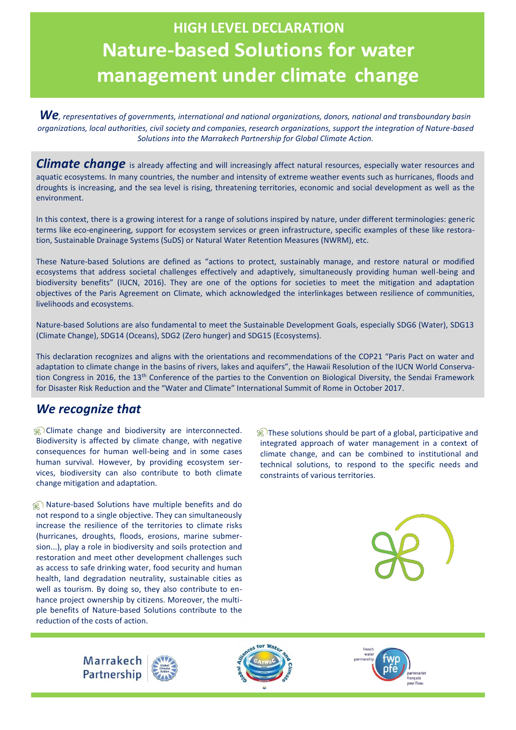## **HIGH LEVEL DECLARATION Nature-based Solutions for water management under climate change**

*We, representatives of governments, international and national organizations, donors, national and transboundary basin organizations, local authorities, civil society and companies, research organizations, support the integration of Nature-based Solutions into the Marrakech Partnership for Global Climate Action.*

**Climate change** is already affecting and will increasingly affect natural resources, especially water resources and aquatic ecosystems. In many countries, the number and intensity of extreme weather events such as hurricanes, floods and droughts is increasing, and the sea level is rising, threatening territories, economic and social development as well as the environment.

In this context, there is a growing interest for a range of solutions inspired by nature, under different terminologies: generic terms like eco-engineering, support for ecosystem services or green infrastructure, specific examples of these like restoration, Sustainable Drainage Systems (SuDS) or Natural Water Retention Measures (NWRM), etc.

These Nature-based Solutions are defined as "actions to protect, sustainably manage, and restore natural or modified ecosystems that address societal challenges effectively and adaptively, simultaneously providing human well-being and biodiversity benefits" (IUCN, 2016). They are one of the options for societies to meet the mitigation and adaptation objectives of the Paris Agreement on Climate, which acknowledged the interlinkages between resilience of communities, livelihoods and ecosystems.

Nature-based Solutions are also fundamental to meet the Sustainable Development Goals, especially SDG6 (Water), SDG13 (Climate Change), SDG14 (Oceans), SDG2 (Zero hunger) and SDG15 (Ecosystems).

This declaration recognizes and aligns with the orientations and recommendations of the COP21 "Paris Pact on water and adaptation to climate change in the basins of rivers, lakes and aquifers", the Hawaii Resolution of the IUCN World Conservation Congress in 2016, the 13<sup>th</sup> Conference of the parties to the Convention on Biological Diversity, the Sendai Framework for Disaster Risk Reduction and the "Water and Climate" International Summit of Rome in October 2017.

## *We recognize that*

**Climate change and biodiversity are interconnected.** Biodiversity is affected by climate change, with negative consequences for human well-being and in some cases human survival. However, by providing ecosystem services, biodiversity can also contribute to both climate change mitigation and adaptation.

**A)** Nature-based Solutions have multiple benefits and do not respond to a single objective. They can simultaneously increase the resilience of the territories to climate risks (hurricanes, droughts, floods, erosions, marine submersion...), play a role in biodiversity and soils protection and restoration and meet other development challenges such as access to safe drinking water, food security and human health, land degradation neutrality, sustainable cities as well as tourism. By doing so, they also contribute to enhance project ownership by citizens. Moreover, the multiple benefits of Nature-based Solutions contribute to the reduction of the costs of action.

 $\frac{1}{20}$  These solutions should be part of a global, participative and integrated approach of water management in a context of climate change, and can be combined to institutional and technical solutions, to respond to the specific needs and constraints of various territories.